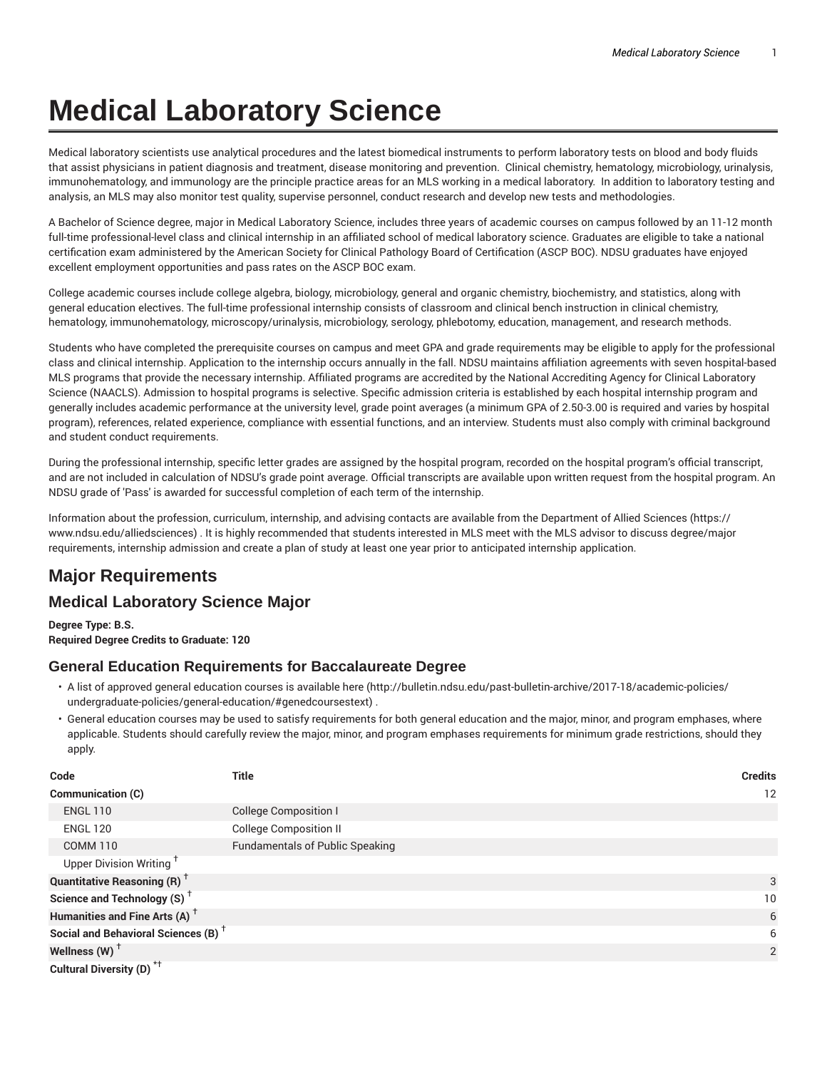# **Medical Laboratory Science**

Medical laboratory scientists use analytical procedures and the latest biomedical instruments to perform laboratory tests on blood and body fluids that assist physicians in patient diagnosis and treatment, disease monitoring and prevention. Clinical chemistry, hematology, microbiology, urinalysis, immunohematology, and immunology are the principle practice areas for an MLS working in a medical laboratory. In addition to laboratory testing and analysis, an MLS may also monitor test quality, supervise personnel, conduct research and develop new tests and methodologies.

A Bachelor of Science degree, major in Medical Laboratory Science, includes three years of academic courses on campus followed by an 11-12 month full-time professional-level class and clinical internship in an affiliated school of medical laboratory science. Graduates are eligible to take a national certification exam administered by the American Society for Clinical Pathology Board of Certification (ASCP BOC). NDSU graduates have enjoyed excellent employment opportunities and pass rates on the ASCP BOC exam.

College academic courses include college algebra, biology, microbiology, general and organic chemistry, biochemistry, and statistics, along with general education electives. The full-time professional internship consists of classroom and clinical bench instruction in clinical chemistry, hematology, immunohematology, microscopy/urinalysis, microbiology, serology, phlebotomy, education, management, and research methods.

Students who have completed the prerequisite courses on campus and meet GPA and grade requirements may be eligible to apply for the professional class and clinical internship. Application to the internship occurs annually in the fall. NDSU maintains affiliation agreements with seven hospital-based MLS programs that provide the necessary internship. Affiliated programs are accredited by the National Accrediting Agency for Clinical Laboratory Science (NAACLS). Admission to hospital programs is selective. Specific admission criteria is established by each hospital internship program and generally includes academic performance at the university level, grade point averages (a minimum GPA of 2.50-3.00 is required and varies by hospital program), references, related experience, compliance with essential functions, and an interview. Students must also comply with criminal background and student conduct requirements.

During the professional internship, specific letter grades are assigned by the hospital program, recorded on the hospital program's official transcript, and are not included in calculation of NDSU's grade point average. Official transcripts are available upon written request from the hospital program. An NDSU grade of 'Pass' is awarded for successful completion of each term of the internship.

Information about the profession, curriculum, internship, and advising contacts are available from the Department of Allied Sciences (https:// www.ndsu.edu/alliedsciences) . It is highly recommended that students interested in MLS meet with the MLS advisor to discuss degree/major requirements, internship admission and create a plan of study at least one year prior to anticipated internship application.

# **Major Requirements**

## **Medical Laboratory Science Major**

**Degree Type: B.S. Required Degree Credits to Graduate: 120**

### **General Education Requirements for Baccalaureate Degree**

- A list of approved general education courses is available here (http://bulletin.ndsu.edu/past-bulletin-archive/2017-18/academic-policies/ undergraduate-policies/general-education/#genedcoursestext) .
- General education courses may be used to satisfy requirements for both general education and the major, minor, and program emphases, where applicable. Students should carefully review the major, minor, and program emphases requirements for minimum grade restrictions, should they apply.

| Code                                            | Title                                  | <b>Credits</b>  |
|-------------------------------------------------|----------------------------------------|-----------------|
| Communication (C)                               |                                        | 12              |
| <b>ENGL 110</b>                                 | <b>College Composition I</b>           |                 |
| <b>ENGL 120</b>                                 | <b>College Composition II</b>          |                 |
| <b>COMM 110</b>                                 | <b>Fundamentals of Public Speaking</b> |                 |
| Upper Division Writing <sup>+</sup>             |                                        |                 |
| <b>Quantitative Reasoning (R)</b> <sup>†</sup>  |                                        | 3               |
| Science and Technology (S) <sup>+</sup>         |                                        | 10 <sup>°</sup> |
| Humanities and Fine Arts (A) <sup>+</sup>       |                                        | 6               |
| Social and Behavioral Sciences (B) <sup>+</sup> |                                        | 6               |
| Wellness (W) $^{\dagger}$                       |                                        | 2               |
| Cultural Diversity (D) <sup>*†</sup>            |                                        |                 |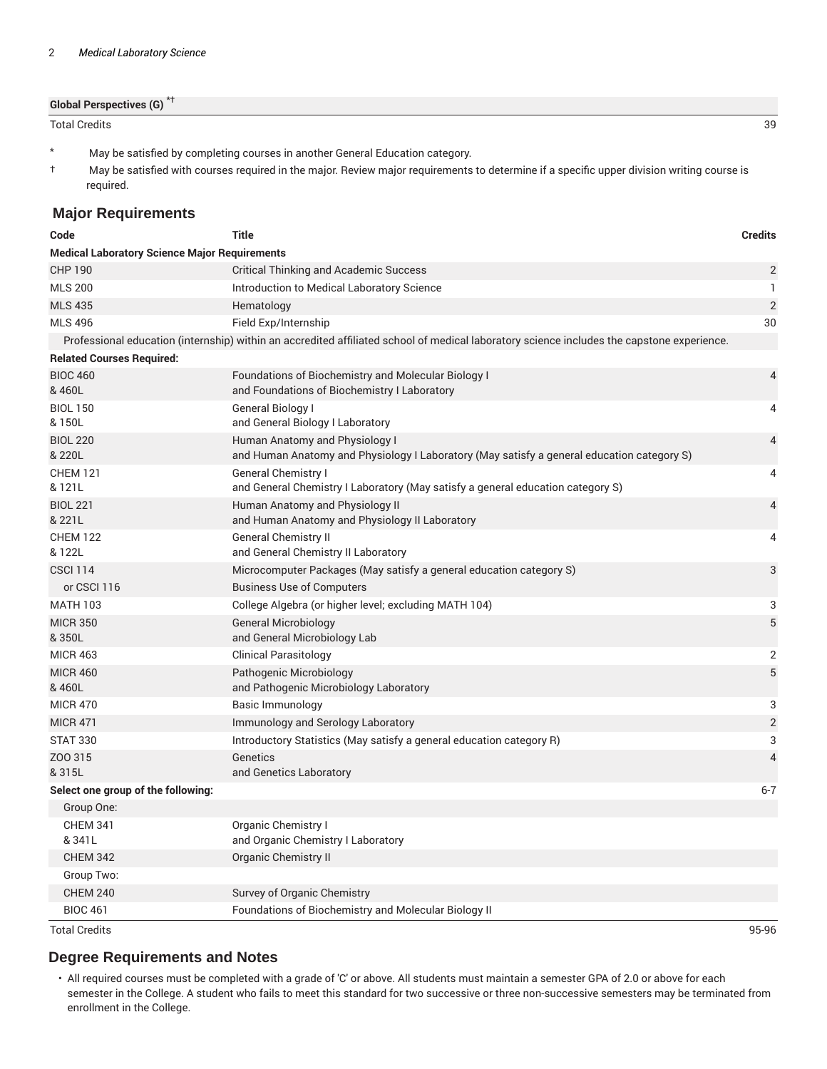**Global Perspectives (G)** \*†

Total Credits 39

- \* May be satisfied by completing courses in another General Education category.
- † May be satisfied with courses required in the major. Review major requirements to determine if a specific upper division writing course is required.

#### **Major Requirements**

| Code                                                 | <b>Title</b>                                                                                                                               | <b>Credits</b> |  |
|------------------------------------------------------|--------------------------------------------------------------------------------------------------------------------------------------------|----------------|--|
| <b>Medical Laboratory Science Major Requirements</b> |                                                                                                                                            |                |  |
| <b>CHP 190</b>                                       | <b>Critical Thinking and Academic Success</b>                                                                                              | $\overline{2}$ |  |
| <b>MLS 200</b>                                       | Introduction to Medical Laboratory Science                                                                                                 | $\mathbf{1}$   |  |
| <b>MLS 435</b>                                       | Hematology                                                                                                                                 | $\overline{2}$ |  |
| <b>MLS 496</b>                                       | Field Exp/Internship                                                                                                                       | 30             |  |
|                                                      | Professional education (internship) within an accredited affiliated school of medical laboratory science includes the capstone experience. |                |  |
| <b>Related Courses Required:</b>                     |                                                                                                                                            |                |  |
| <b>BIOC 460</b><br>& 460L                            | Foundations of Biochemistry and Molecular Biology I<br>and Foundations of Biochemistry I Laboratory                                        | $\overline{4}$ |  |
| <b>BIOL 150</b><br>& 150L                            | General Biology I<br>and General Biology I Laboratory                                                                                      | 4              |  |
| <b>BIOL 220</b><br>& 220L                            | Human Anatomy and Physiology I<br>and Human Anatomy and Physiology I Laboratory (May satisfy a general education category S)               | $\overline{4}$ |  |
| <b>CHEM 121</b><br>& 121L                            | <b>General Chemistry I</b><br>and General Chemistry I Laboratory (May satisfy a general education category S)                              | 4              |  |
| <b>BIOL 221</b><br>& 221L                            | Human Anatomy and Physiology II<br>and Human Anatomy and Physiology II Laboratory                                                          | $\overline{4}$ |  |
| <b>CHEM 122</b><br>& 122L                            | <b>General Chemistry II</b><br>and General Chemistry II Laboratory                                                                         | 4              |  |
| <b>CSCI 114</b>                                      | Microcomputer Packages (May satisfy a general education category S)                                                                        | 3              |  |
| or CSCI 116                                          | <b>Business Use of Computers</b>                                                                                                           |                |  |
| <b>MATH 103</b>                                      | College Algebra (or higher level; excluding MATH 104)                                                                                      | 3              |  |
| <b>MICR 350</b><br>& 350L                            | General Microbiology<br>and General Microbiology Lab                                                                                       | 5              |  |
| <b>MICR 463</b>                                      | <b>Clinical Parasitology</b>                                                                                                               | $\overline{2}$ |  |
| <b>MICR 460</b><br>& 460L                            | Pathogenic Microbiology<br>and Pathogenic Microbiology Laboratory                                                                          | 5              |  |
| <b>MICR 470</b>                                      | Basic Immunology                                                                                                                           | 3              |  |
| <b>MICR 471</b>                                      | Immunology and Serology Laboratory                                                                                                         | $\overline{2}$ |  |
| <b>STAT 330</b>                                      | Introductory Statistics (May satisfy a general education category R)                                                                       | 3              |  |
| Z00315<br>& 315L                                     | Genetics<br>and Genetics Laboratory                                                                                                        | $\overline{4}$ |  |
| Select one group of the following:                   |                                                                                                                                            | $6 - 7$        |  |
| Group One:                                           |                                                                                                                                            |                |  |
| <b>CHEM 341</b><br>&341L                             | <b>Organic Chemistry I</b><br>and Organic Chemistry I Laboratory                                                                           |                |  |
| <b>CHEM 342</b>                                      | <b>Organic Chemistry II</b>                                                                                                                |                |  |
| Group Two:                                           |                                                                                                                                            |                |  |
| <b>CHEM 240</b>                                      | Survey of Organic Chemistry                                                                                                                |                |  |
| <b>BIOC 461</b>                                      | Foundations of Biochemistry and Molecular Biology II                                                                                       |                |  |

Total Credits 95-96

#### **Degree Requirements and Notes**

• All required courses must be completed with a grade of 'C' or above. All students must maintain a semester GPA of 2.0 or above for each semester in the College. A student who fails to meet this standard for two successive or three non-successive semesters may be terminated from enrollment in the College.